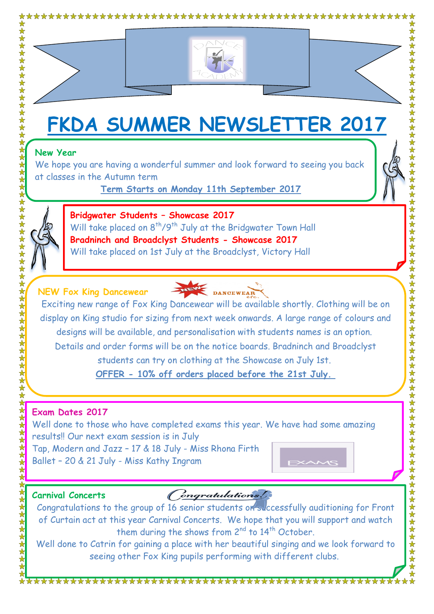

# **FKDA SUMMER NEWSLETTER 2017**

## **New Year**

We hope you are having a wonderful summer and look forward to seeing you back at classes in the Autumn term

**Term Starts on Monday 11th September 2017**



**Bridgwater Students – Showcase 2017** Will take placed on 8<sup>th</sup>/9<sup>th</sup> July at the Bridgwater Town Hall **Bradninch and Broadclyst Students - Showcase 2017** Will take placed on 1st July at the Broadclyst, Victory Hall

# **NEW Fox King Dancewear**



Exciting new range of Fox King Dancewear will be available shortly. Clothing will be on display on King studio for sizing from next week onwards. A large range of colours and designs will be available, and personalisation with students names is an option. Details and order forms will be on the notice boards. Bradninch and Broadclyst students can try on clothing at the Showcase on July 1st.

**OFFER - 10% off orders placed before the 21st July.**

# **Exam Dates 2017**

Well done to those who have completed exams this year. We have had some amazing results!! Our next exam session is in July Tap, Modern and Jazz – 17 & 18 July - Miss Rhona Firth Ballet – 20 & 21 July - Miss Kathy Ingram

**Carnival Concerts**

女女女女女女女女女女

# Congratulations

Congratulations to the group of 16 senior students on successfully auditioning for Front of Curtain act at this year Carnival Concerts. We hope that you will support and watch them during the shows from 2<sup>nd</sup> to 14<sup>th</sup> October.

Well done to Catrin for gaining a place with her beautiful singing and we look forward to seeing other Fox King pupils performing with different clubs.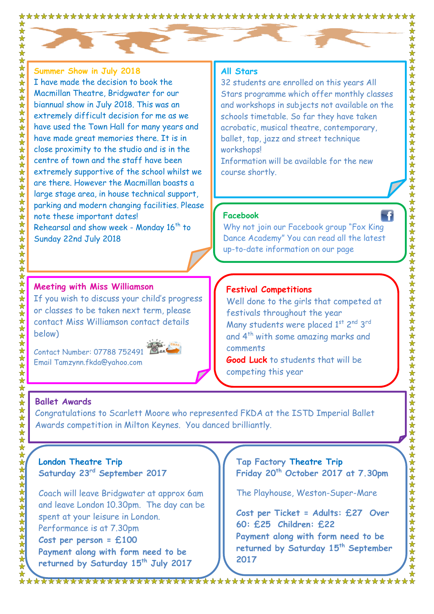

**Summer Show in July 2018** I have made the decision to book the Macmillan Theatre, Bridgwater for our biannual show in July 2018. This was an extremely difficult decision for me as we have used the Town Hall for many years and have made great memories there. It is in close proximity to the studio and is in the centre of town and the staff have been extremely supportive of the school whilst we are there. However the Macmillan boasts a large stage area, in house technical support, parking and modern changing facilities. Please note these important dates! Rehearsal and show week - Monday  $16^{th}$  to Sunday 22nd July 2018

#### **Meeting with Miss Williamson**

If you wish to discuss your child's progress or classes to be taken next term, please contact Miss Williamson contact details below)

Contact Number: 07788 752491 Email Tamzynn.fkda@yahoo.com



#### **All Stars**

32 students are enrolled on this years All Stars programme which offer monthly classes and workshops in subjects not available on the schools timetable. So far they have taken acrobatic, musical theatre, contemporary, ballet, tap, jazz and street technique workshops!

Information will be available for the new course shortly.

#### **Facebook**

Why not join our Facebook group "Fox King Dance Academy" You can read all the latest up-to-date information on our page

#### **Festival Competitions**

Well done to the girls that competed at festivals throughout the year Many students were placed 1st 2<sup>nd</sup> 3<sup>rd</sup> and 4th with some amazing marks and comments

**Good Luck** to students that will be competing this year

#### **Ballet Awards**

Congratulations to Scarlett Moore who represented FKDA at the ISTD Imperial Ballet Awards competition in Milton Keynes. You danced brilliantly.

#### **London Theatre Trip Saturday 23rd September 2017**

Coach will leave Bridgwater at approx 6am and leave London 10.30pm. The day can be spent at your leisure in London. Performance is at 7.30pm **Cost per person = £100 Payment along with form need to be returned by Saturday 15th July 2017**

**Tap Factory Theatre Trip Friday 20 th October 2017 at 7.30pm**

The Playhouse, Weston-Super-Mare

**Cost per Ticket = Adults: £27 Over 60: £25 Children: £22 Payment along with form need to be returned by Saturday 15th September 2017**